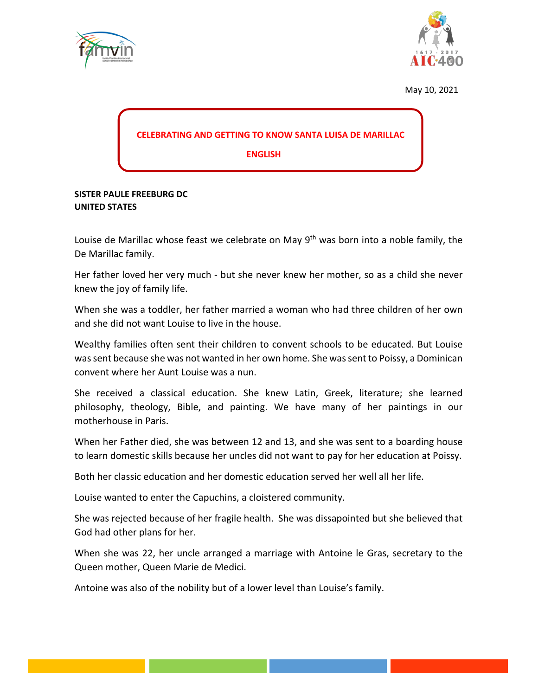



May 10, 2021

## **CELEBRATING AND GETTING TO KNOW SANTA LUISA DE MARILLAC**

 **ENGLISH**

## **SISTER PAULE FREEBURG DC UNITED STATES**

Louise de Marillac whose feast we celebrate on May 9<sup>th</sup> was born into a noble family, the De Marillac family.

Her father loved her very much - but she never knew her mother, so as a child she never knew the joy of family life.

When she was a toddler, her father married a woman who had three children of her own and she did not want Louise to live in the house.

Wealthy families often sent their children to convent schools to be educated. But Louise was sent because she was not wanted in her own home. She was sent to Poissy, a Dominican convent where her Aunt Louise was a nun.

She received a classical education. She knew Latin, Greek, literature; she learned philosophy, theology, Bible, and painting. We have many of her paintings in our motherhouse in Paris.

When her Father died, she was between 12 and 13, and she was sent to a boarding house to learn domestic skills because her uncles did not want to pay for her education at Poissy.

Both her classic education and her domestic education served her well all her life.

Louise wanted to enter the Capuchins, a cloistered community.

She was rejected because of her fragile health. She was dissapointed but she believed that God had other plans for her.

When she was 22, her uncle arranged a marriage with Antoine le Gras, secretary to the Queen mother, Queen Marie de Medici.

Antoine was also of the nobility but of a lower level than Louise's family.